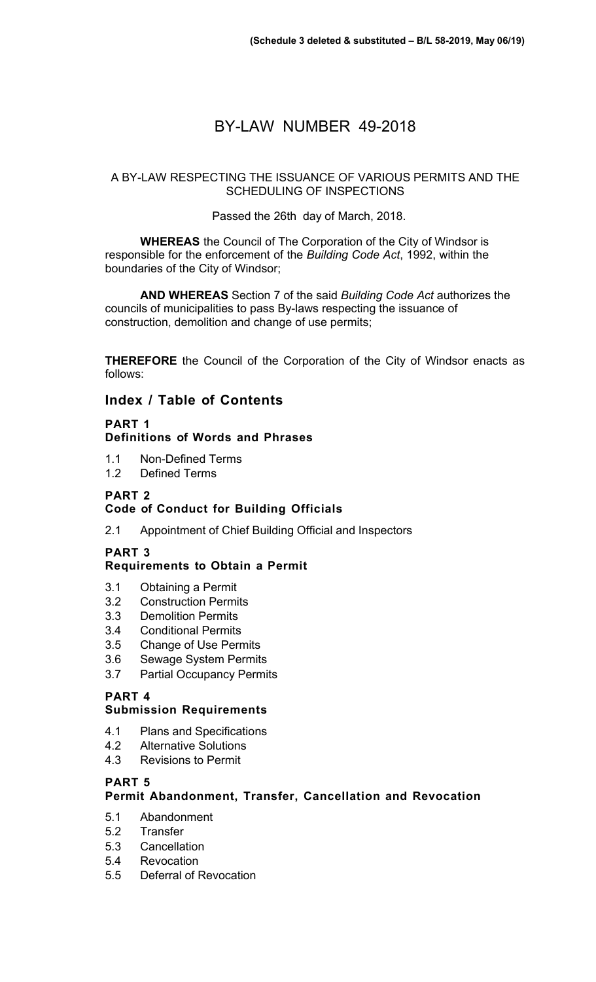# BY-LAW NUMBER 49-2018

#### A BY-LAW RESPECTING THE ISSUANCE OF VARIOUS PERMITS AND THE SCHEDULING OF INSPECTIONS

#### Passed the 26th day of March, 2018.

**WHEREAS** the Council of The Corporation of the City of Windsor is responsible for the enforcement of the *Building Code Act*, 1992, within the boundaries of the City of Windsor;

**AND WHEREAS** Section 7 of the said *Building Code Act* authorizes the councils of municipalities to pass By-laws respecting the issuance of construction, demolition and change of use permits;

**THEREFORE** the Council of the Corporation of the City of Windsor enacts as follows:

### **Index / Table of Contents**

#### **PART 1 Definitions of Words and Phrases**

- 1.1 Non-Defined Terms
- 1.2 Defined Terms

### **PART 2**

#### **Code of Conduct for Building Officials**

2.1 Appointment of Chief Building Official and Inspectors

#### **PART 3**

#### **Requirements to Obtain a Permit**

- 3.1 Obtaining a Permit
- 3.2 Construction Permits
- 3.3 Demolition Permits
- 3.4 Conditional Permits
- 3.5 Change of Use Permits
- 3.6 Sewage System Permits
- 3.7 Partial Occupancy Permits

#### **PART 4**

#### **Submission Requirements**

- 4.1 Plans and Specifications
- 4.2 Alternative Solutions
- 4.3 Revisions to Permit

#### **PART 5**

#### **Permit Abandonment, Transfer, Cancellation and Revocation**

- 5.1 Abandonment
- 5.2 Transfer
- 5.3 Cancellation
- 5.4 Revocation
- 5.5 Deferral of Revocation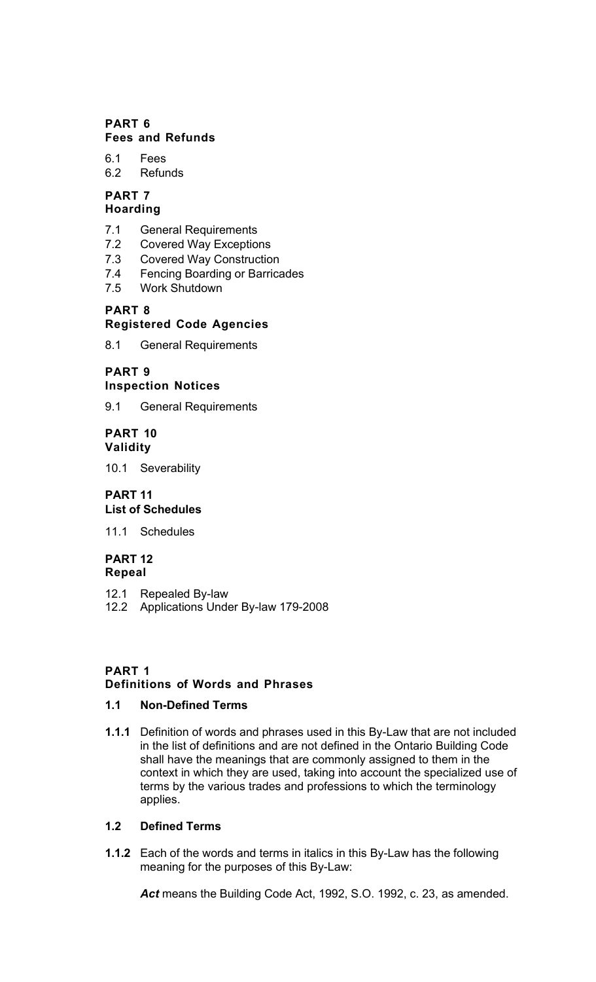#### **PART 6 Fees and Refunds**

# 6.1 Fees

6.2 Refunds

#### **PART 7 Hoarding**

- 7.1 General Requirements<br>7.2 Covered Wav Exceptio
- **Covered Way Exceptions**
- 7.3 Covered Way Construction
- 7.4 Fencing Boarding or Barricades
- 7.5 Work Shutdown

# **PART 8**

# **Registered Code Agencies**

8.1 General Requirements

# **PART 9**

# **Inspection Notices**

9.1 General Requirements

#### **PART 10 Validity**

10.1 Severability

#### **PART 11 List of Schedules**

11.1 Schedules

#### **PART 12 Repeal**

12.1 Repealed By-law

12.2 Applications Under By-law 179-2008

# **PART 1**

# **Definitions of Words and Phrases**

# **1.1 Non-Defined Terms**

**1.1.1** Definition of words and phrases used in this By-Law that are not included in the list of definitions and are not defined in the Ontario Building Code shall have the meanings that are commonly assigned to them in the context in which they are used, taking into account the specialized use of terms by the various trades and professions to which the terminology applies.

# **1.2 Defined Terms**

**1.1.2** Each of the words and terms in italics in this By-Law has the following meaning for the purposes of this By-Law:

Act means the Building Code Act, 1992, S.O. 1992, c. 23, as amended.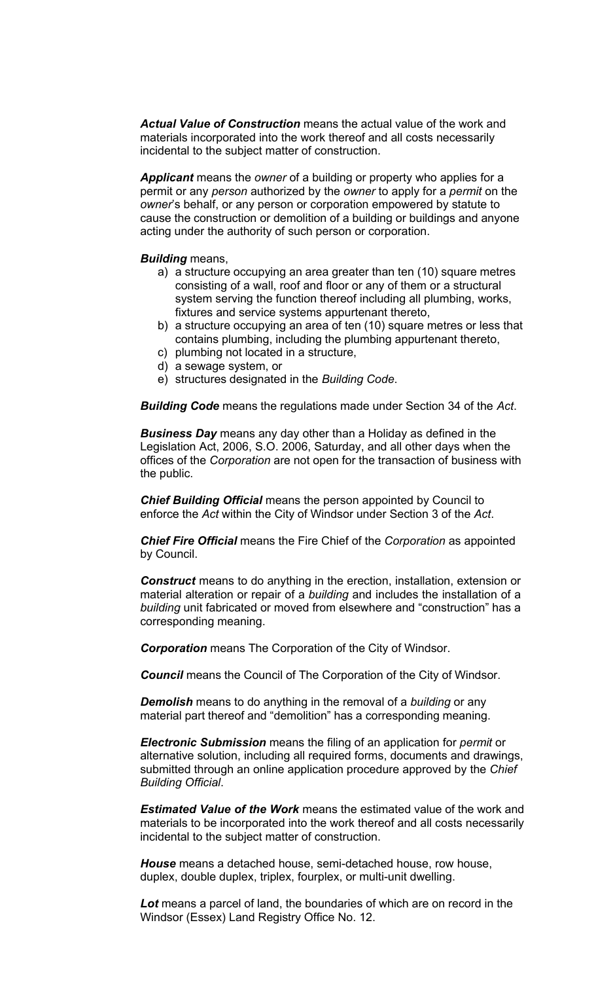*Actual Value of Construction* means the actual value of the work and materials incorporated into the work thereof and all costs necessarily incidental to the subject matter of construction.

*Applicant* means the *owner* of a building or property who applies for a permit or any *person* authorized by the *owner* to apply for a *permit* on the *owner*'s behalf, or any person or corporation empowered by statute to cause the construction or demolition of a building or buildings and anyone acting under the authority of such person or corporation.

#### *Building* means,

- a) a structure occupying an area greater than ten (10) square metres consisting of a wall, roof and floor or any of them or a structural system serving the function thereof including all plumbing, works, fixtures and service systems appurtenant thereto,
- b) a structure occupying an area of ten (10) square metres or less that contains plumbing, including the plumbing appurtenant thereto,
- c) plumbing not located in a structure,
- d) a sewage system, or
- e) structures designated in the *Building Code*.

*Building Code* means the regulations made under Section 34 of the *Act*.

*Business Day* means any day other than a Holiday as defined in the Legislation Act, 2006, S.O. 2006, Saturday, and all other days when the offices of the *Corporation* are not open for the transaction of business with the public.

*Chief Building Official* means the person appointed by Council to enforce the *Act* within the City of Windsor under Section 3 of the *Act*.

*Chief Fire Official* means the Fire Chief of the *Corporation* as appointed by Council.

**Construct** means to do anything in the erection, installation, extension or material alteration or repair of a *building* and includes the installation of a *building* unit fabricated or moved from elsewhere and "construction" has a corresponding meaning.

*Corporation* means The Corporation of the City of Windsor.

*Council* means the Council of The Corporation of the City of Windsor.

*Demolish* means to do anything in the removal of a *building* or any material part thereof and "demolition" has a corresponding meaning.

*Electronic Submission* means the filing of an application for *permit* or alternative solution, including all required forms, documents and drawings, submitted through an online application procedure approved by the *Chief Building Official*.

*Estimated Value of the Work* means the estimated value of the work and materials to be incorporated into the work thereof and all costs necessarily incidental to the subject matter of construction.

*House* means a detached house, semi-detached house, row house, duplex, double duplex, triplex, fourplex, or multi-unit dwelling.

Lot means a parcel of land, the boundaries of which are on record in the Windsor (Essex) Land Registry Office No. 12.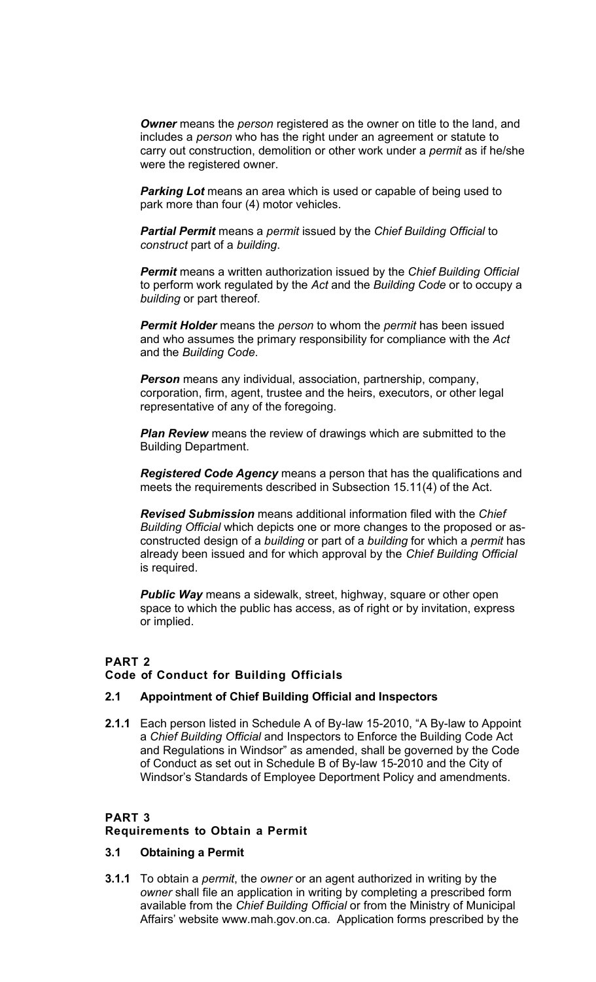*Owner* means the *person* registered as the owner on title to the land, and includes a *person* who has the right under an agreement or statute to carry out construction, demolition or other work under a *permit* as if he/she were the registered owner.

**Parking Lot** means an area which is used or capable of being used to park more than four (4) motor vehicles.

*Partial Permit* means a *permit* issued by the *Chief Building Official* to *construct* part of a *building*.

*Permit* means a written authorization issued by the *Chief Building Official*  to perform work regulated by the *Act* and the *Building Code* or to occupy a *building* or part thereof.

*Permit Holder* means the *person* to whom the *permit* has been issued and who assumes the primary responsibility for compliance with the *Act*  and the *Building Code*.

*Person* means any individual, association, partnership, company, corporation, firm, agent, trustee and the heirs, executors, or other legal representative of any of the foregoing.

*Plan Review* means the review of drawings which are submitted to the Building Department.

*Registered Code Agency* means a person that has the qualifications and meets the requirements described in Subsection 15.11(4) of the Act.

*Revised Submission* means additional information filed with the *Chief Building Official* which depicts one or more changes to the proposed or asconstructed design of a *building* or part of a *building* for which a *permit* has already been issued and for which approval by the *Chief Building Official*  is required.

**Public Way** means a sidewalk, street, highway, square or other open space to which the public has access, as of right or by invitation, express or implied.

# **PART 2**

#### **Code of Conduct for Building Officials**

#### **2.1 Appointment of Chief Building Official and Inspectors**

**2.1.1** Each person listed in Schedule A of By-law 15-2010, "A By-law to Appoint a *Chief Building Official* and Inspectors to Enforce the Building Code Act and Regulations in Windsor" as amended, shall be governed by the Code of Conduct as set out in Schedule B of By-law 15-2010 and the City of Windsor's Standards of Employee Deportment Policy and amendments.

#### **PART 3**

#### **Requirements to Obtain a Permit**

#### **3.1 Obtaining a Permit**

**3.1.1** To obtain a *permit*, the *owner* or an agent authorized in writing by the *owner* shall file an application in writing by completing a prescribed form available from the *Chief Building Official* or from the Ministry of Municipal Affairs' website [www.mah.gov.on.ca.](http://www.mah.gov.on.ca/) Application forms prescribed by the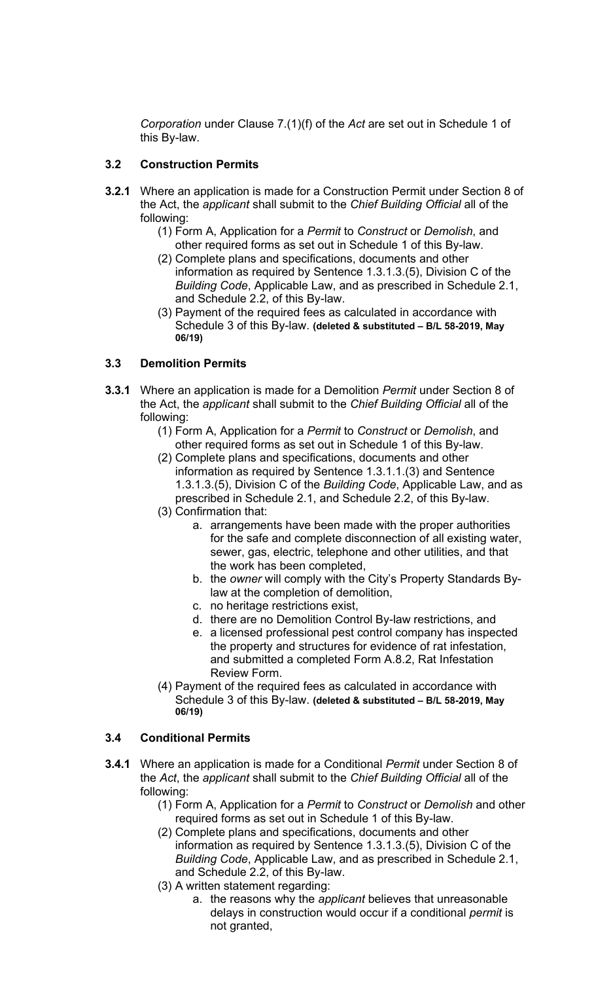*Corporation* under Clause 7.(1)(f) of the *Act* are set out in Schedule 1 of this By-law.

### **3.2 Construction Permits**

- **3.2.1** Where an application is made for a Construction Permit under Section 8 of the Act, the *applicant* shall submit to the *Chief Building Official* all of the following:
	- (1) Form A, Application for a *Permit* to *Construct* or *Demolish*, and other required forms as set out in Schedule 1 of this By-law.
	- (2) Complete plans and specifications, documents and other information as required by Sentence 1.3.1.3.(5), Division C of the *Building Code*, Applicable Law, and as prescribed in Schedule 2.1, and Schedule 2.2, of this By-law.
	- (3) Payment of the required fees as calculated in accordance with Schedule 3 of this By-law. **(deleted & substituted – B/L 58-2019, May 06/19)**

# **3.3 Demolition Permits**

- **3.3.1** Where an application is made for a Demolition *Permit* under Section 8 of the Act, the *applicant* shall submit to the *Chief Building Official* all of the following:
	- (1) Form A, Application for a *Permit* to *Construct* or *Demolish*, and other required forms as set out in Schedule 1 of this By-law.
	- (2) Complete plans and specifications, documents and other information as required by Sentence 1.3.1.1.(3) and Sentence 1.3.1.3.(5), Division C of the *Building Code*, Applicable Law, and as prescribed in Schedule 2.1, and Schedule 2.2, of this By-law.
	- (3) Confirmation that:
		- a. arrangements have been made with the proper authorities for the safe and complete disconnection of all existing water, sewer, gas, electric, telephone and other utilities, and that the work has been completed,
		- b. the *owner* will comply with the City's Property Standards Bylaw at the completion of demolition,
		- c. no heritage restrictions exist,
		- d. there are no Demolition Control By-law restrictions, and
		- e. a licensed professional pest control company has inspected the property and structures for evidence of rat infestation, and submitted a completed Form A.8.2, Rat Infestation Review Form.
	- (4) Payment of the required fees as calculated in accordance with Schedule 3 of this By-law. **(deleted & substituted – B/L 58-2019, May 06/19)**

#### **3.4 Conditional Permits**

- **3.4.1** Where an application is made for a Conditional *Permit* under Section 8 of the *Act*, the *applicant* shall submit to the *Chief Building Official* all of the following:
	- (1) Form A, Application for a *Permit* to *Construct* or *Demolish* and other required forms as set out in Schedule 1 of this By-law.
	- (2) Complete plans and specifications, documents and other information as required by Sentence 1.3.1.3.(5), Division C of the *Building Code*, Applicable Law, and as prescribed in Schedule 2.1, and Schedule 2.2, of this By-law.
	- (3) A written statement regarding:
		- a. the reasons why the *applicant* believes that unreasonable delays in construction would occur if a conditional *permit* is not granted,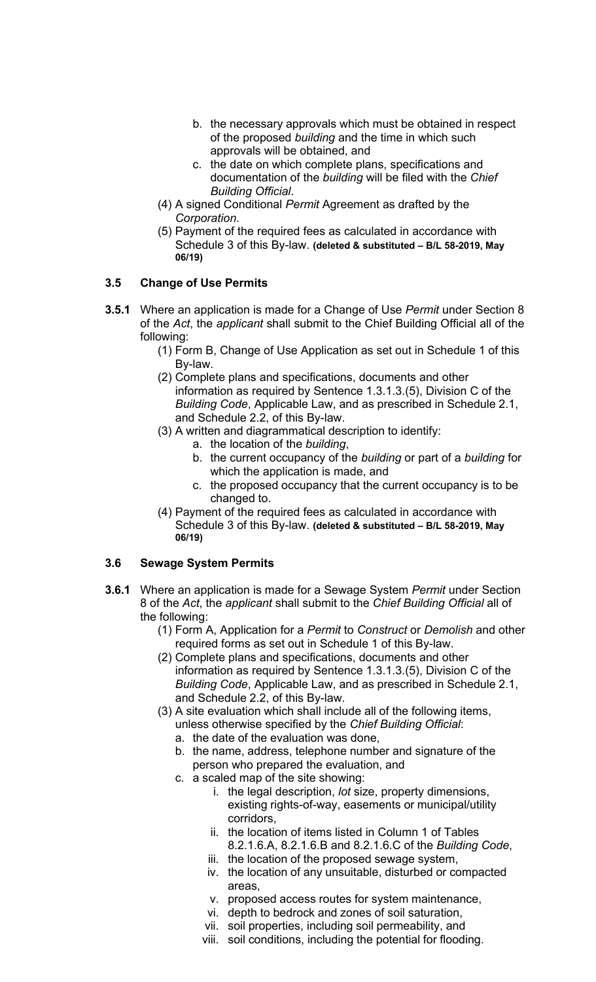- b. the necessary approvals which must be obtained in respect of the proposed *building* and the time in which such approvals will be obtained, and
- c. the date on which complete plans, specifications and documentation of the *building* will be filed with the *Chief Building Official*.
- (4) A signed Conditional *Permit* Agreement as drafted by the *Corporation*.
- (5) Payment of the required fees as calculated in accordance with Schedule 3 of this By-law. **(deleted & substituted – B/L 58-2019, May 06/19)**

### **3.5 Change of Use Permits**

- **3.5.1** Where an application is made for a Change of Use *Permit* under Section 8 of the *Act*, the *applicant* shall submit to the Chief Building Official all of the following:
	- (1) Form B, Change of Use Application as set out in Schedule 1 of this By-law.
	- (2) Complete plans and specifications, documents and other information as required by Sentence 1.3.1.3.(5), Division C of the *Building Code*, Applicable Law, and as prescribed in Schedule 2.1, and Schedule 2.2, of this By-law.
	- (3) A written and diagrammatical description to identify:
		- a. the location of the *building*,
			- b. the current occupancy of the *building* or part of a *building* for which the application is made, and
			- c. the proposed occupancy that the current occupancy is to be changed to.
	- (4) Payment of the required fees as calculated in accordance with Schedule 3 of this By-law. **(deleted & substituted – B/L 58-2019, May 06/19)**

#### **3.6 Sewage System Permits**

- **3.6.1** Where an application is made for a Sewage System *Permit* under Section 8 of the *Act*, the *applicant* shall submit to the *Chief Building Official* all of the following:
	- (1) Form A, Application for a *Permit* to *Construct* or *Demolish* and other required forms as set out in Schedule 1 of this By-law.
	- (2) Complete plans and specifications, documents and other information as required by Sentence 1.3.1.3.(5), Division C of the *Building Code*, Applicable Law, and as prescribed in Schedule 2.1, and Schedule 2.2, of this By-law.
	- (3) A site evaluation which shall include all of the following items, unless otherwise specified by the *Chief Building Official*:
		- a. the date of the evaluation was done,
		- b. the name, address, telephone number and signature of the person who prepared the evaluation, and
		- c. a scaled map of the site showing:
			- i. the legal description, *lot* size, property dimensions, existing rights-of-way, easements or municipal/utility corridors,
			- ii. the location of items listed in Column 1 of Tables 8.2.1.6.A, 8.2.1.6.B and 8.2.1.6.C of the *Building Code*,
			- iii. the location of the proposed sewage system,
			- iv. the location of any unsuitable, disturbed or compacted areas,
			- v. proposed access routes for system maintenance,
			- vi. depth to bedrock and zones of soil saturation,
			- vii. soil properties, including soil permeability, and
			- viii. soil conditions, including the potential for flooding.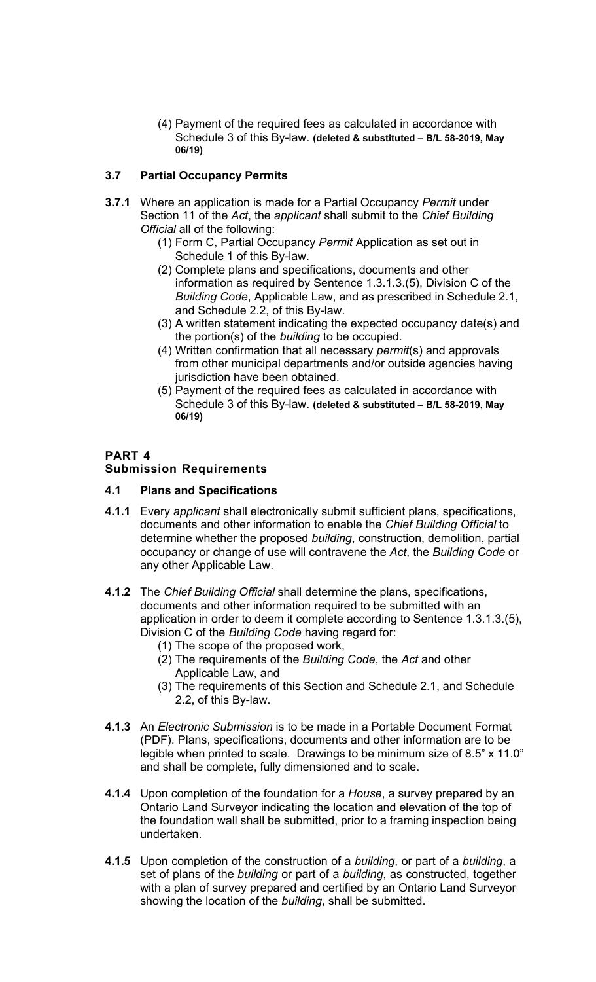(4) Payment of the required fees as calculated in accordance with Schedule 3 of this By-law. **(deleted & substituted – B/L 58-2019, May 06/19)** 

### **3.7 Partial Occupancy Permits**

- **3.7.1** Where an application is made for a Partial Occupancy *Permit* under Section 11 of the *Act*, the *applicant* shall submit to the *Chief Building Official* all of the following:
	- (1) Form C, Partial Occupancy *Permit* Application as set out in Schedule 1 of this By-law.
	- (2) Complete plans and specifications, documents and other information as required by Sentence 1.3.1.3.(5), Division C of the *Building Code*, Applicable Law, and as prescribed in Schedule 2.1, and Schedule 2.2, of this By-law.
	- (3) A written statement indicating the expected occupancy date(s) and the portion(s) of the *building* to be occupied.
	- (4) Written confirmation that all necessary *permit*(s) and approvals from other municipal departments and/or outside agencies having jurisdiction have been obtained.
	- (5) Payment of the required fees as calculated in accordance with Schedule 3 of this By-law. **(deleted & substituted – B/L 58-2019, May 06/19)**

### **PART 4**

#### **Submission Requirements**

#### **4.1 Plans and Specifications**

- **4.1.1** Every *applicant* shall electronically submit sufficient plans, specifications, documents and other information to enable the *Chief Building Official* to determine whether the proposed *building*, construction, demolition, partial occupancy or change of use will contravene the *Act*, the *Building Code* or any other Applicable Law.
- **4.1.2** The *Chief Building Official* shall determine the plans, specifications, documents and other information required to be submitted with an application in order to deem it complete according to Sentence 1.3.1.3.(5), Division C of the *Building Code* having regard for:
	- (1) The scope of the proposed work,
	- (2) The requirements of the *Building Code*, the *Act* and other Applicable Law, and
	- (3) The requirements of this Section and Schedule 2.1, and Schedule 2.2, of this By-law.
- **4.1.3** An *Electronic Submission* is to be made in a Portable Document Format (PDF). Plans, specifications, documents and other information are to be legible when printed to scale. Drawings to be minimum size of 8.5" x 11.0" and shall be complete, fully dimensioned and to scale.
- **4.1.4** Upon completion of the foundation for a *House*, a survey prepared by an Ontario Land Surveyor indicating the location and elevation of the top of the foundation wall shall be submitted, prior to a framing inspection being undertaken.
- **4.1.5** Upon completion of the construction of a *building*, or part of a *building*, a set of plans of the *building* or part of a *building*, as constructed, together with a plan of survey prepared and certified by an Ontario Land Surveyor showing the location of the *building*, shall be submitted.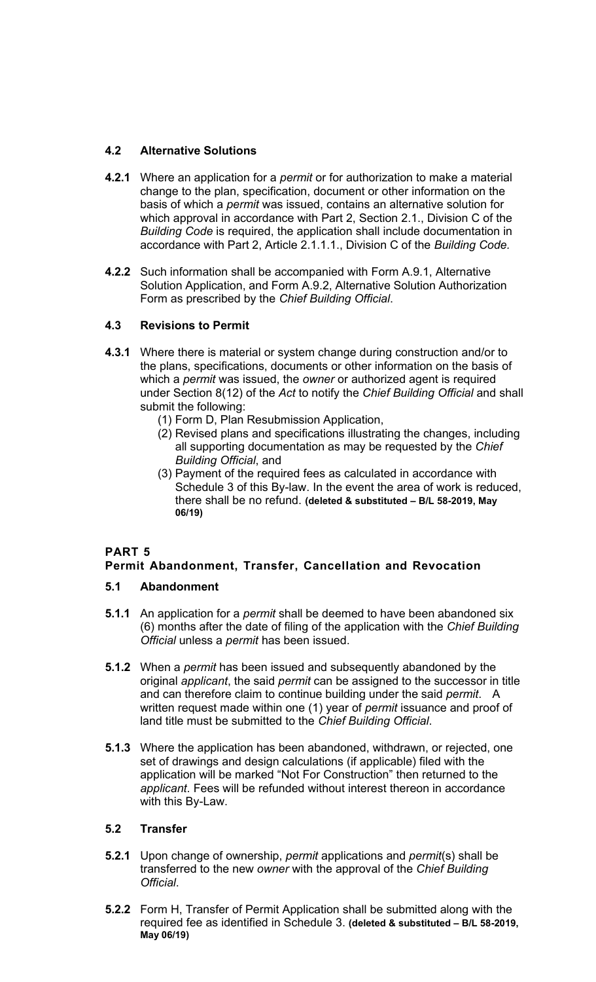# **4.2 Alternative Solutions**

- **4.2.1** Where an application for a *permit* or for authorization to make a material change to the plan, specification, document or other information on the basis of which a *permit* was issued, contains an alternative solution for which approval in accordance with Part 2, Section 2.1., Division C of the *Building Code* is required, the application shall include documentation in accordance with Part 2, Article 2.1.1.1., Division C of the *Building Code.*
- **4.2.2** Such information shall be accompanied with Form A.9.1, Alternative Solution Application, and Form A.9.2, Alternative Solution Authorization Form as prescribed by the *Chief Building Official*.

# **4.3 Revisions to Permit**

- **4.3.1** Where there is material or system change during construction and/or to the plans, specifications, documents or other information on the basis of which a *permit* was issued, the *owner* or authorized agent is required under Section 8(12) of the *Act* to notify the *Chief Building Official* and shall submit the following:
	- (1) Form D, Plan Resubmission Application,
	- (2) Revised plans and specifications illustrating the changes, including all supporting documentation as may be requested by the *Chief Building Official*, and
	- (3) Payment of the required fees as calculated in accordance with Schedule 3 of this By-law. In the event the area of work is reduced, there shall be no refund. **(deleted & substituted – B/L 58-2019, May 06/19)**

# **PART 5**

# **Permit Abandonment, Transfer, Cancellation and Revocation**

# **5.1 Abandonment**

- **5.1.1** An application for a *permit* shall be deemed to have been abandoned six (6) months after the date of filing of the application with the *Chief Building Official* unless a *permit* has been issued.
- **5.1.2** When a *permit* has been issued and subsequently abandoned by the original *applicant*, the said *permit* can be assigned to the successor in title and can therefore claim to continue building under the said *permit*. A written request made within one (1) year of *permit* issuance and proof of land title must be submitted to the *Chief Building Official*.
- **5.1.3** Where the application has been abandoned, withdrawn, or rejected, one set of drawings and design calculations (if applicable) filed with the application will be marked "Not For Construction" then returned to the *applicant*. Fees will be refunded without interest thereon in accordance with this By-Law.

# **5.2 Transfer**

- **5.2.1** Upon change of ownership, *permit* applications and *permit*(s) shall be transferred to the new *owner* with the approval of the *Chief Building Official*.
- **5.2.2** Form H, Transfer of Permit Application shall be submitted along with the required fee as identified in Schedule 3. **(deleted & substituted – B/L 58-2019, May 06/19)**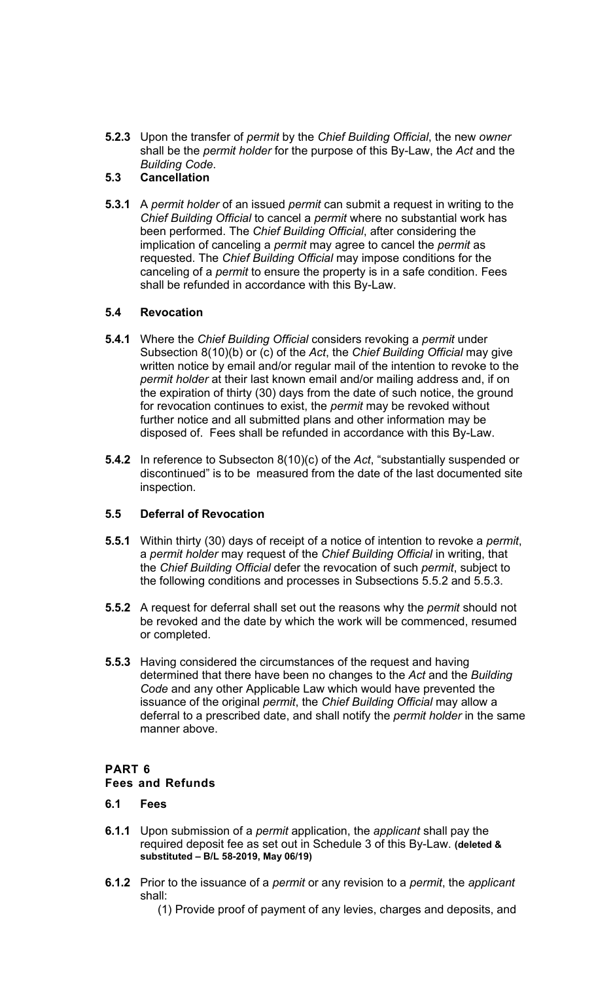**5.2.3** Upon the transfer of *permit* by the *Chief Building Official*, the new *owner*  shall be the *permit holder* for the purpose of this By-Law, the *Act* and the *Building Code*.

#### **5.3 Cancellation**

**5.3.1** A *permit holder* of an issued *permit* can submit a request in writing to the *Chief Building Official* to cancel a *permit* where no substantial work has been performed. The *Chief Building Official*, after considering the implication of canceling a *permit* may agree to cancel the *permit* as requested. The *Chief Building Official* may impose conditions for the canceling of a *permit* to ensure the property is in a safe condition. Fees shall be refunded in accordance with this By-Law.

### **5.4 Revocation**

- **5.4.1** Where the *Chief Building Official* considers revoking a *permit* under Subsection 8(10)(b) or (c) of the *Act*, the *Chief Building Official* may give written notice by email and/or regular mail of the intention to revoke to the *permit holder* at their last known email and/or mailing address and, if on the expiration of thirty (30) days from the date of such notice, the ground for revocation continues to exist, the *permit* may be revoked without further notice and all submitted plans and other information may be disposed of. Fees shall be refunded in accordance with this By-Law.
- **5.4.2** In reference to Subsecton 8(10)(c) of the *Act*, "substantially suspended or discontinued" is to be measured from the date of the last documented site inspection.

#### **5.5 Deferral of Revocation**

- **5.5.1** Within thirty (30) days of receipt of a notice of intention to revoke a *permit*, a *permit holder* may request of the *Chief Building Official* in writing, that the *Chief Building Official* defer the revocation of such *permit*, subject to the following conditions and processes in Subsections 5.5.2 and 5.5.3.
- **5.5.2** A request for deferral shall set out the reasons why the *permit* should not be revoked and the date by which the work will be commenced, resumed or completed.
- **5.5.3** Having considered the circumstances of the request and having determined that there have been no changes to the *Act* and the *Building Code* and any other Applicable Law which would have prevented the issuance of the original *permit*, the *Chief Building Official* may allow a deferral to a prescribed date, and shall notify the *permit holder* in the same manner above.

#### **PART 6 Fees and Refunds**

#### **6.1 Fees**

- **6.1.1** Upon submission of a *permit* application, the *applicant* shall pay the required deposit fee as set out in Schedule 3 of this By-Law. **(deleted & substituted – B/L 58-2019, May 06/19)**
- **6.1.2** Prior to the issuance of a *permit* or any revision to a *permit*, the *applicant*  shall:
	- (1) Provide proof of payment of any levies, charges and deposits, and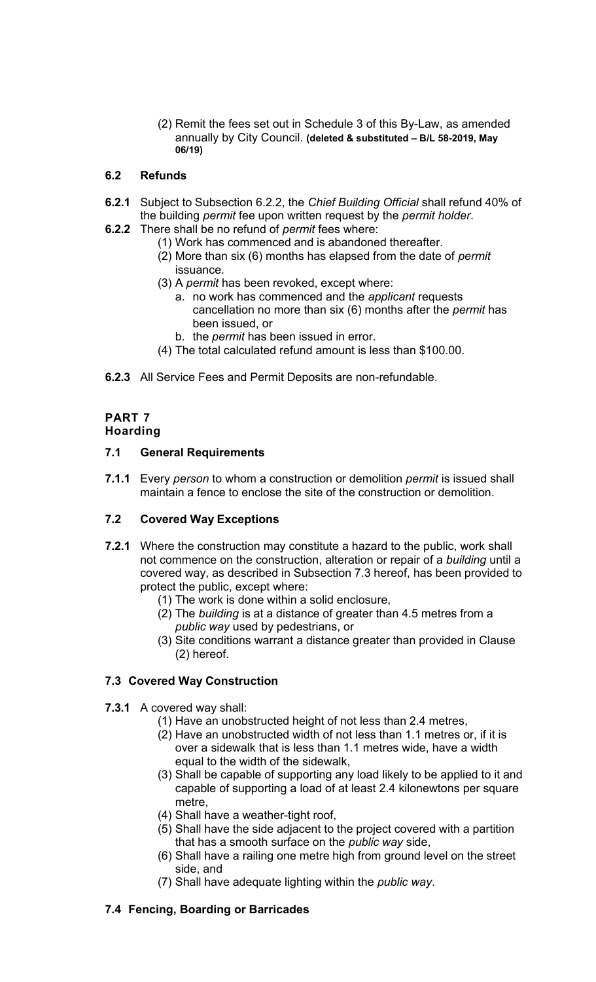(2) Remit the fees set out in Schedule 3 of this By-Law, as amended annually by City Council. **(deleted & substituted – B/L 58-2019, May 06/19)** 

### **6.2 Refunds**

- **6.2.1** Subject to Subsection 6.2.2, the *Chief Building Official* shall refund 40% of the building *permit* fee upon written request by the *permit holder*.
- **6.2.2** There shall be no refund of *permit* fees where:
	- (1) Work has commenced and is abandoned thereafter.
	- (2) More than six (6) months has elapsed from the date of *permit*  issuance.
	- (3) A *permit* has been revoked, except where:
		- a. no work has commenced and the *applicant* requests cancellation no more than six (6) months after the *permit* has been issued, or
		- b. the *permit* has been issued in error.
	- (4) The total calculated refund amount is less than \$100.00.
- **6.2.3** All Service Fees and Permit Deposits are non-refundable.

# **PART 7**

# **Hoarding**

### **7.1 General Requirements**

**7.1.1** Every *person* to whom a construction or demolition *permit* is issued shall maintain a fence to enclose the site of the construction or demolition.

# **7.2 Covered Way Exceptions**

- **7.2.1** Where the construction may constitute a hazard to the public, work shall not commence on the construction, alteration or repair of a *building* until a covered way, as described in Subsection 7.3 hereof, has been provided to protect the public, except where:
	- (1) The work is done within a solid enclosure,
	- (2) The *building* is at a distance of greater than 4.5 metres from a *public way* used by pedestrians, or
	- (3) Site conditions warrant a distance greater than provided in Clause (2) hereof.

# **7.3 Covered Way Construction**

#### **7.3.1** A covered way shall:

- (1) Have an unobstructed height of not less than 2.4 metres,
- (2) Have an unobstructed width of not less than 1.1 metres or, if it is over a sidewalk that is less than 1.1 metres wide, have a width equal to the width of the sidewalk,
- (3) Shall be capable of supporting any load likely to be applied to it and capable of supporting a load of at least 2.4 kilonewtons per square metre,
- (4) Shall have a weather-tight roof,
- (5) Shall have the side adjacent to the project covered with a partition that has a smooth surface on the *public way* side,
- (6) Shall have a railing one metre high from ground level on the street side, and
- (7) Shall have adequate lighting within the *public way*.

# **7.4 Fencing, Boarding or Barricades**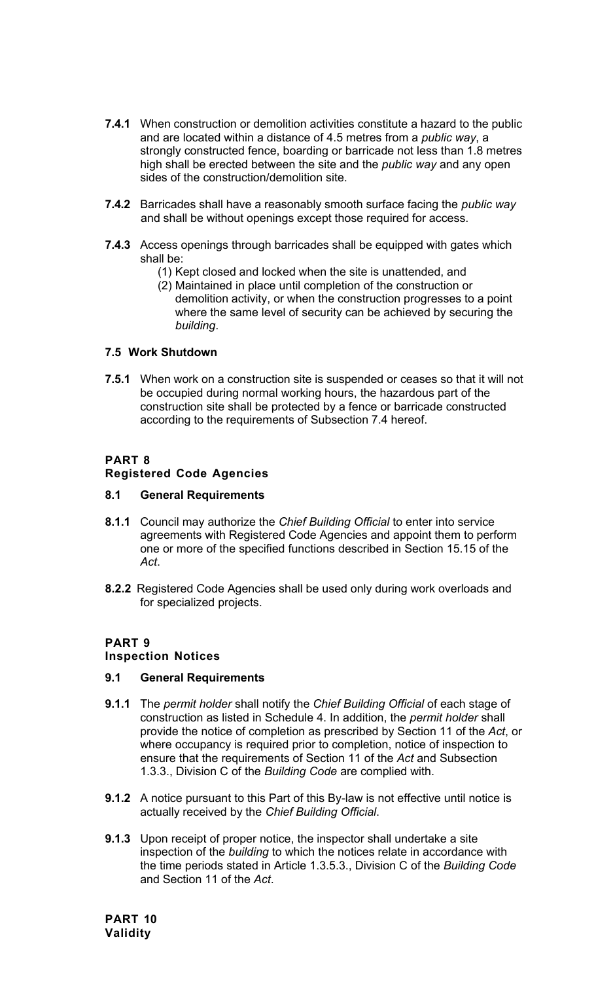- **7.4.1** When construction or demolition activities constitute a hazard to the public and are located within a distance of 4.5 metres from a *public way*, a strongly constructed fence, boarding or barricade not less than 1.8 metres high shall be erected between the site and the *public way* and any open sides of the construction/demolition site.
- **7.4.2** Barricades shall have a reasonably smooth surface facing the *public way*  and shall be without openings except those required for access.
- **7.4.3** Access openings through barricades shall be equipped with gates which shall be:
	- (1) Kept closed and locked when the site is unattended, and
	- (2) Maintained in place until completion of the construction or demolition activity, or when the construction progresses to a point where the same level of security can be achieved by securing the *building*.

#### **7.5 Work Shutdown**

**7.5.1** When work on a construction site is suspended or ceases so that it will not be occupied during normal working hours, the hazardous part of the construction site shall be protected by a fence or barricade constructed according to the requirements of Subsection 7.4 hereof.

### **PART 8**

### **Registered Code Agencies**

#### **8.1 General Requirements**

- **8.1.1** Council may authorize the *Chief Building Official* to enter into service agreements with Registered Code Agencies and appoint them to perform one or more of the specified functions described in Section 15.15 of the *Act*.
- **8.2.2** Registered Code Agencies shall be used only during work overloads and for specialized projects.

#### **PART 9**

#### **Inspection Notices**

#### **9.1 General Requirements**

- **9.1.1** The *permit holder* shall notify the *Chief Building Official* of each stage of construction as listed in Schedule 4. In addition, the *permit holder* shall provide the notice of completion as prescribed by Section 11 of the *Act*, or where occupancy is required prior to completion, notice of inspection to ensure that the requirements of Section 11 of the *Act* and Subsection 1.3.3., Division C of the *Building Code* are complied with.
- **9.1.2** A notice pursuant to this Part of this By-law is not effective until notice is actually received by the *Chief Building Official*.
- **9.1.3** Upon receipt of proper notice, the inspector shall undertake a site inspection of the *building* to which the notices relate in accordance with the time periods stated in Article 1.3.5.3., Division C of the *Building Code*  and Section 11 of the *Act*.

**PART 10 Validity**